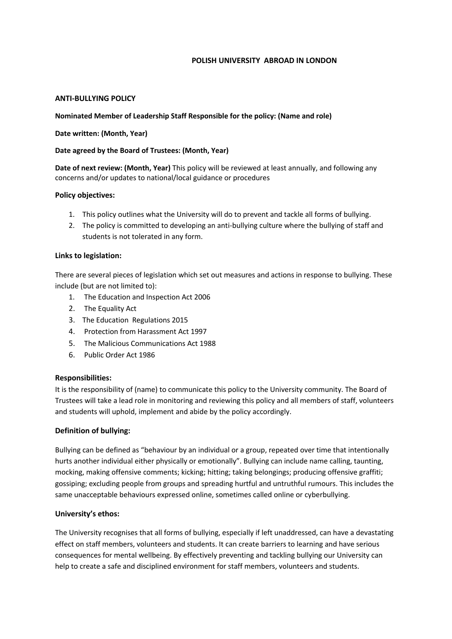## **POLISH UNIVERSITY ABROAD IN LONDON**

## **ANTI-BULLYING POLICY**

## **Nominated Member of Leadership Staff Responsible for the policy: (Name and role)**

#### **Date written: (Month, Year)**

## **Date agreed by the Board of Trustees: (Month, Year)**

**Date of next review: (Month, Year)** This policy will be reviewed at least annually, and following any concerns and/or updates to national/local guidance or procedures

## **Policy objectives:**

- 1. This policy outlines what the University will do to prevent and tackle all forms of bullying.
- 2. The policy is committed to developing an anti-bullying culture where the bullying of staff and students is not tolerated in any form.

## **Links to legislation:**

There are several pieces of legislation which set out measures and actions in response to bullying. These include (but are not limited to):

- 1. The Education and Inspection Act 2006
- 2. The Equality Act
- 3. The Education Regulations 2015
- 4. Protection from Harassment Act 1997
- 5. The Malicious Communications Act 1988
- 6. Public Order Act 1986

#### **Responsibilities:**

It is the responsibility of (name) to communicate this policy to the University community. The Board of Trustees will take a lead role in monitoring and reviewing this policy and all members of staff, volunteers and students will uphold, implement and abide by the policy accordingly.

#### **Definition of bullying:**

Bullying can be defined as "behaviour by an individual or a group, repeated over time that intentionally hurts another individual either physically or emotionally". Bullying can include name calling, taunting, mocking, making offensive comments; kicking; hitting; taking belongings; producing offensive graffiti; gossiping; excluding people from groups and spreading hurtful and untruthful rumours. This includes the same unacceptable behaviours expressed online, sometimes called online or cyberbullying.

#### **University's ethos:**

The University recognises that all forms of bullying, especially if left unaddressed, can have a devastating effect on staff members, volunteers and students. It can create barriers to learning and have serious consequences for mental wellbeing. By effectively preventing and tackling bullying our University can help to create a safe and disciplined environment for staff members, volunteers and students.